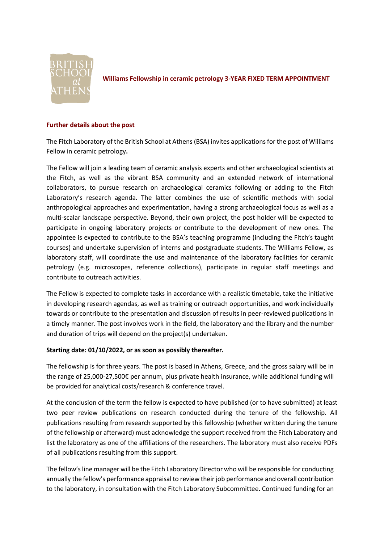

**Williams Fellowship in ceramic petrology 3-YEAR FIXED TERM APPOINTMENT**

# **Further details about the post**

The Fitch Laboratory of the British School at Athens (BSA) invites applications for the post of Williams Fellow in ceramic petrology**.**

The Fellow will join a leading team of ceramic analysis experts and other archaeological scientists at the Fitch, as well as the vibrant BSA community and an extended network of international collaborators, to pursue research on archaeological ceramics following or adding to the Fitch Laboratory's research agenda. The latter combines the use of scientific methods with social anthropological approaches and experimentation, having a strong archaeological focus as well as a multi-scalar landscape perspective. Beyond, their own project, the post holder will be expected to participate in ongoing laboratory projects or contribute to the development of new ones. The appointee is expected to contribute to the BSA's teaching programme (including the Fitch's taught courses) and undertake supervision of interns and postgraduate students. The Williams Fellow, as laboratory staff, will coordinate the use and maintenance of the laboratory facilities for ceramic petrology (e.g. microscopes, reference collections), participate in regular staff meetings and contribute to outreach activities.

The Fellow is expected to complete tasks in accordance with a realistic timetable, take the initiative in developing research agendas, as well as training or outreach opportunities, and work individually towards or contribute to the presentation and discussion of results in peer-reviewed publications in a timely manner. The post involves work in the field, the laboratory and the library and the number and duration of trips will depend on the project(s) undertaken.

# **Starting date: 01/10/2022, or as soon as possibly thereafter.**

The fellowship is for three years. The post is based in Athens, Greece, and the gross salary will be in the range of 25,000-27,500€ per annum, plus private health insurance, while additional funding will be provided for analytical costs/research & conference travel.

At the conclusion of the term the fellow is expected to have published (or to have submitted) at least two peer review publications on research conducted during the tenure of the fellowship. All publications resulting from research supported by this fellowship (whether written during the tenure of the fellowship or afterward) must acknowledge the support received from the Fitch Laboratory and list the laboratory as one of the affiliations of the researchers. The laboratory must also receive PDFs of all publications resulting from this support.

The fellow's line manager will be the Fitch Laboratory Director who will be responsible for conducting annually the fellow's performance appraisal to review their job performance and overall contribution to the laboratory, in consultation with the Fitch Laboratory Subcommittee. Continued funding for an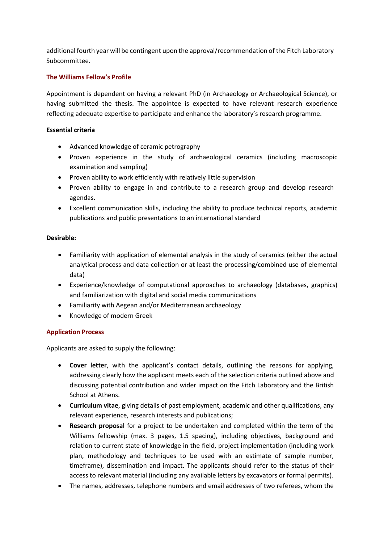additional fourth year will be contingent upon the approval/recommendation of the Fitch Laboratory Subcommittee.

## **The Williams Fellow's Profile**

Appointment is dependent on having a relevant PhD (in Archaeology or Archaeological Science), or having submitted the thesis. The appointee is expected to have relevant research experience reflecting adequate expertise to participate and enhance the laboratory's research programme.

## **Essential criteria**

- Advanced knowledge of ceramic petrography
- Proven experience in the study of archaeological ceramics (including macroscopic examination and sampling)
- Proven ability to work efficiently with relatively little supervision
- Proven ability to engage in and contribute to a research group and develop research agendas.
- Excellent communication skills, including the ability to produce technical reports, academic publications and public presentations to an international standard

### **Desirable:**

- Familiarity with application of elemental analysis in the study of ceramics (either the actual analytical process and data collection or at least the processing/combined use of elemental data)
- Experience/knowledge of computational approaches to archaeology (databases, graphics) and familiarization with digital and social media communications
- Familiarity with Aegean and/or Mediterranean archaeology
- Knowledge of modern Greek

## **Application Process**

Applicants are asked to supply the following:

- **Cover letter**, with the applicant's contact details, outlining the reasons for applying, addressing clearly how the applicant meets each of the selection criteria outlined above and discussing potential contribution and wider impact on the Fitch Laboratory and the British School at Athens.
- **Curriculum vitae**, giving details of past employment, academic and other qualifications, any relevant experience, research interests and publications;
- **Research proposal** for a project to be undertaken and completed within the term of the Williams fellowship (max. 3 pages, 1.5 spacing), including objectives, background and relation to current state of knowledge in the field, project implementation (including work plan, methodology and techniques to be used with an estimate of sample number, timeframe), dissemination and impact. The applicants should refer to the status of their access to relevant material (including any available letters by excavators or formal permits).
- The names, addresses, telephone numbers and email addresses of two referees, whom the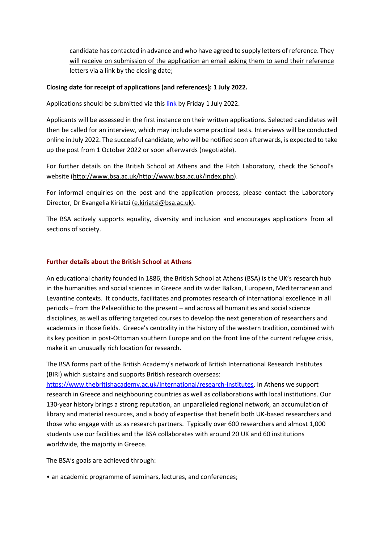candidate has contacted in advance and who have agreed to supply letters of reference. They will receive on submission of the application an email asking them to send their reference letters via a link by the closing date;

### **Closing date for receipt of applications (and references): 1 July 2022.**

Applications should be submitted via this [link](https://forms.gle/sgmcfUUTt6vUkffo7) by Friday 1 July 2022.

Applicants will be assessed in the first instance on their written applications. Selected candidates will then be called for an interview, which may include some practical tests. Interviews will be conducted online in July 2022. The successful candidate, who will be notified soon afterwards, is expected to take up the post from 1 October 2022 or soon afterwards (negotiable).

For further details on the British School at Athens and the Fitch Laboratory, check the School's website (http://www.bsa.ac.uk/http://www.bsa.ac.uk/index.php).

For informal enquiries on the post and the application process, please contact the Laboratory Director, Dr Evangelia Kiriatzi [\(e.kiriatzi@bsa.ac.uk\)](mailto:e.kiriatzi@bsa.ac.uk).

The BSA actively supports equality, diversity and inclusion and encourages applications from all sections of society.

#### **Further details about the British School at Athens**

An educational charity founded in 1886, the British School at Athens (BSA) is the UK's research hub in the humanities and social sciences in Greece and its wider Balkan, European, Mediterranean and Levantine contexts. It conducts, facilitates and promotes research of international excellence in all periods – from the Palaeolithic to the present – and across all humanities and social science disciplines, as well as offering targeted courses to develop the next generation of researchers and academics in those fields. Greece's centrality in the history of the western tradition, combined with its key position in post-Ottoman southern Europe and on the front line of the current refugee crisis, make it an unusually rich location for research.

The BSA forms part of the British Academy's network of British International Research Institutes (BIRI) which sustains and supports British research overseas:

[https://www.thebritishacademy.ac.uk/international/research-institutes.](https://www.thebritishacademy.ac.uk/international/research-institutes) In Athens we support research in Greece and neighbouring countries as well as collaborations with local institutions. Our 130-year history brings a strong reputation, an unparalleled regional network, an accumulation of library and material resources, and a body of expertise that benefit both UK-based researchers and those who engage with us as research partners. Typically over 600 researchers and almost 1,000 students use our facilities and the BSA collaborates with around 20 UK and 60 institutions worldwide, the majority in Greece.

The BSA's goals are achieved through:

• an academic programme of seminars, lectures, and conferences;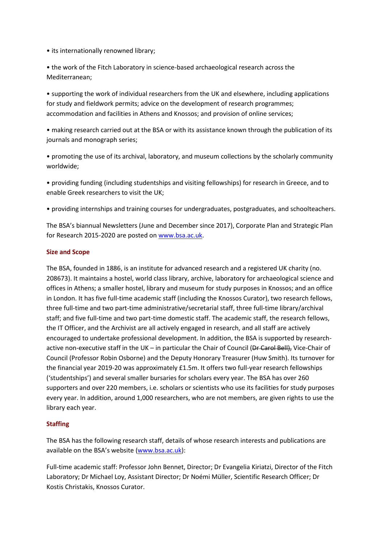• its internationally renowned library;

• the work of the Fitch Laboratory in science-based archaeological research across the Mediterranean;

• supporting the work of individual researchers from the UK and elsewhere, including applications for study and fieldwork permits; advice on the development of research programmes; accommodation and facilities in Athens and Knossos; and provision of online services;

• making research carried out at the BSA or with its assistance known through the publication of its journals and monograph series;

• promoting the use of its archival, laboratory, and museum collections by the scholarly community worldwide;

• providing funding (including studentships and visiting fellowships) for research in Greece, and to enable Greek researchers to visit the UK;

• providing internships and training courses for undergraduates, postgraduates, and schoolteachers.

The BSA's biannual Newsletters (June and December since 2017), Corporate Plan and Strategic Plan for Research 2015-2020 are posted o[n www.bsa.ac.uk.](http://www.bsa.ac.uk/)

### **Size and Scope**

The BSA, founded in 1886, is an institute for advanced research and a registered UK charity (no. 208673). It maintains a hostel, world class library, archive, laboratory for archaeological science and offices in Athens; a smaller hostel, library and museum for study purposes in Knossos; and an office in London. It has five full-time academic staff (including the Knossos Curator), two research fellows, three full-time and two part-time administrative/secretarial staff, three full-time library/archival staff; and five full-time and two part-time domestic staff. The academic staff, the research fellows, the IT Officer, and the Archivist are all actively engaged in research, and all staff are actively encouraged to undertake professional development. In addition, the BSA is supported by researchactive non-executive staff in the UK – in particular the Chair of Council (Dr Carol Bell), Vice-Chair of Council (Professor Robin Osborne) and the Deputy Honorary Treasurer (Huw Smith). Its turnover for the financial year 2019-20 was approximately £1.5m. It offers two full-year research fellowships ('studentships') and several smaller bursaries for scholars every year. The BSA has over 260 supporters and over 220 members, i.e. scholars or scientists who use its facilities for study purposes every year. In addition, around 1,000 researchers, who are not members, are given rights to use the library each year.

## **Staffing**

The BSA has the following research staff, details of whose research interests and publications are available on the BSA's website ([www.bsa.ac.uk\)](http://www.bsa.ac.uk/):

Full-time academic staff: Professor John Bennet, Director; Dr Evangelia Kiriatzi, Director of the Fitch Laboratory; Dr Michael Loy, Assistant Director; Dr Noémi Müller, Scientific Research Officer; Dr Kostis Christakis, Knossos Curator.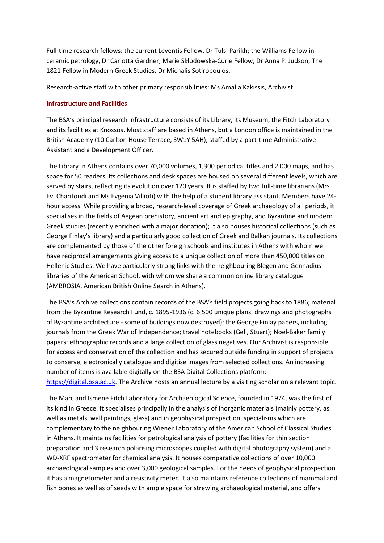Full-time research fellows: the current Leventis Fellow, Dr Tulsi Parikh; the Williams Fellow in ceramic petrology, Dr Carlotta Gardner; Marie Skłodowska-Curie Fellow, Dr Anna P. [Judson;](https://www.bsa.ac.uk/about-us/people/marie-sklodowska-curie-fellow-2/) The 1821 Fellow in Modern Greek Studies, Dr Michalis [Sotiropoulos.](https://www.bsa.ac.uk/about-us/people/1821-fellow/)

Research-active staff with other primary responsibilities: Ms Amalia Kakissis, Archivist.

### **Infrastructure and Facilities**

The BSA's principal research infrastructure consists of its Library, its Museum, the Fitch Laboratory and its facilities at Knossos. Most staff are based in Athens, but a London office is maintained in the British Academy (10 Carlton House Terrace, SW1Y 5AH), staffed by a part-time Administrative Assistant and a Development Officer.

The Library in Athens contains over 70,000 volumes, 1,300 periodical titles and 2,000 maps, and has space for 50 readers. Its collections and desk spaces are housed on several different levels, which are served by stairs, reflecting its evolution over 120 years. It is staffed by two full-time librarians (Mrs Evi Charitoudi and Ms Evgenia Villioti) with the help of a student library assistant. Members have 24 hour access. While providing a broad, research-level coverage of Greek archaeology of all periods, it specialises in the fields of Aegean prehistory, ancient art and epigraphy, and Byzantine and modern Greek studies (recently enriched with a major donation); it also houses historical collections (such as George Finlay's library) and a particularly good collection of Greek and Balkan journals. Its collections are complemented by those of the other foreign schools and institutes in Athens with whom we have reciprocal arrangements giving access to a unique collection of more than 450,000 titles on Hellenic Studies. We have particularly strong links with the neighbouring Blegen and Gennadius libraries of the American School, with whom we share a common online library catalogue (AMBROSIA, American British Online Search in Athens).

The BSA's Archive collections contain records of the BSA's field projects going back to 1886; material from the Byzantine Research Fund, c. 1895-1936 (c. 6,500 unique plans, drawings and photographs of Byzantine architecture - some of buildings now destroyed); the George Finlay papers, including journals from the Greek War of Independence; travel notebooks (Gell, Stuart); Noel-Baker family papers; ethnographic records and a large collection of glass negatives. Our Archivist is responsible for access and conservation of the collection and has secured outside funding in support of projects to conserve, electronically catalogue and digitise images from selected collections. An increasing number of items is available digitally on the BSA Digital Collections platform: [https://digital.bsa.ac.uk.](https://digital.bsa.ac.uk/) The Archive hosts an annual lecture by a visiting scholar on a relevant topic.

The Marc and Ismene Fitch Laboratory for Archaeological Science, founded in 1974, was the first of its kind in Greece. It specialises principally in the analysis of inorganic materials (mainly pottery, as well as metals, wall paintings, glass) and in geophysical prospection, specialisms which are complementary to the neighbouring Wiener Laboratory of the American School of Classical Studies in Athens. It maintains facilities for petrological analysis of pottery (facilities for thin section preparation and 3 research polarising microscopes coupled with digital photography system) and a WD-XRF spectrometer for chemical analysis. It houses comparative collections of over 10,000 archaeological samples and over 3,000 geological samples. For the needs of geophysical prospection it has a magnetometer and a resistivity meter. It also maintains reference collections of mammal and fish bones as well as of seeds with ample space for strewing archaeological material, and offers